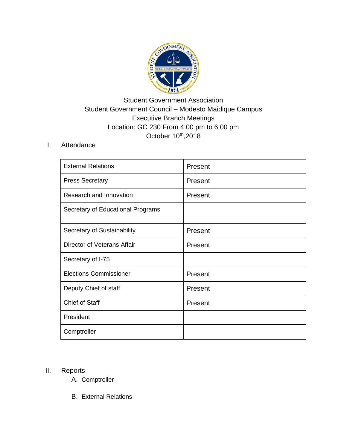

## Student Government Association Student Government Council – Modesto Maidique Campus Executive Branch Meetings Location: GC 230 From 4:00 pm to 6:00 pm October 10<sup>th</sup>,2018

## I. Attendance

| <b>External Relations</b>         | Present |
|-----------------------------------|---------|
| <b>Press Secretary</b>            | Present |
| Research and Innovation           | Present |
| Secretary of Educational Programs |         |
| Secretary of Sustainability       | Present |
| Director of Veterans Affair       | Present |
| Secretary of I-75                 |         |
| <b>Elections Commissioner</b>     | Present |
| Deputy Chief of staff             | Present |
| Chief of Staff                    | Present |
| President                         |         |
| Comptroller                       |         |

## II. Reports

- A. Comptroller
- B. External Relations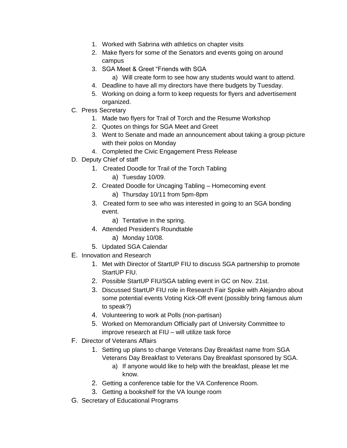- 1. Worked with Sabrina with athletics on chapter visits
- 2. Make flyers for some of the Senators and events going on around campus
- 3. SGA Meet & Greet "Friends with SGA
	- a) Will create form to see how any students would want to attend.
- 4. Deadline to have all my directors have there budgets by Tuesday.
- 5. Working on doing a form to keep requests for flyers and advertisement organized.
- C. Press Secretary
	- 1. Made two flyers for Trail of Torch and the Resume Workshop
	- 2. Quotes on things for SGA Meet and Greet
	- 3. Went to Senate and made an announcement about taking a group picture with their polos on Monday
	- 4. Completed the Civic Engagement Press Release
- D. Deputy Chief of staff
	- 1. Created Doodle for Trail of the Torch Tabling
		- a) Tuesday 10/09.
	- 2. Created Doodle for Uncaging Tabling Homecoming event
		- a) Thursday 10/11 from 5pm-8pm
	- 3. Created form to see who was interested in going to an SGA bonding event.
		- a) Tentative in the spring.
	- 4. Attended President's Roundtable
		- a) Monday 10/08.
	- 5. Updated SGA Calendar
- E. Innovation and Research
	- 1. Met with Director of StartUP FIU to discuss SGA partnership to promote StartUP FIU.
	- 2. Possible StartUP FIU/SGA tabling event in GC on Nov. 21st.
	- 3. Discussed StartUP FIU role in Research Fair Spoke with Alejandro about some potential events Voting Kick-Off event (possibly bring famous alum to speak?)
	- 4. Volunteering to work at Polls (non-partisan)
	- 5. Worked on Memorandum Officially part of University Committee to improve research at FIU – will utilize task force
- F. Director of Veterans Affairs
	- 1. Setting up plans to change Veterans Day Breakfast name from SGA Veterans Day Breakfast to Veterans Day Breakfast sponsored by SGA.
		- a) If anyone would like to help with the breakfast, please let me know.
	- 2. Getting a conference table for the VA Conference Room.
	- 3. Getting a bookshelf for the VA lounge room
- G. Secretary of Educational Programs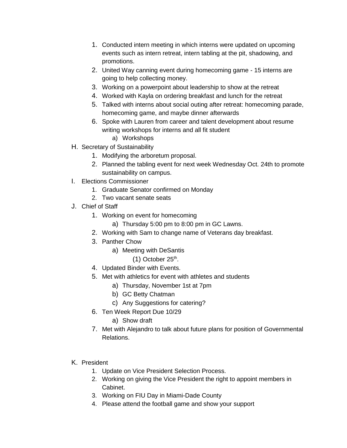- 1. Conducted intern meeting in which interns were updated on upcoming events such as intern retreat, intern tabling at the pit, shadowing, and promotions.
- 2. United Way canning event during homecoming game 15 interns are going to help collecting money.
- 3. Working on a powerpoint about leadership to show at the retreat
- 4. Worked with Kayla on ordering breakfast and lunch for the retreat
- 5. Talked with interns about social outing after retreat: homecoming parade, homecoming game, and maybe dinner afterwards
- 6. Spoke with Lauren from career and talent development about resume writing workshops for interns and all fit student
	- a) Workshops
- H. Secretary of Sustainability
	- 1. Modifying the arboretum proposal.
	- 2. Planned the tabling event for next week Wednesday Oct. 24th to promote sustainability on campus.
- I. Elections Commissioner
	- 1. Graduate Senator confirmed on Monday
	- 2. Two vacant senate seats
- J. Chief of Staff
	- 1. Working on event for homecoming
		- a) Thursday 5:00 pm to 8:00 pm in GC Lawns.
	- 2. Working with Sam to change name of Veterans day breakfast.
	- 3. Panther Chow
		- a) Meeting with DeSantis
			- $(1)$  October 25<sup>th</sup>.
	- 4. Updated Binder with Events.
	- 5. Met with athletics for event with athletes and students
		- a) Thursday, November 1st at 7pm
		- b) GC Betty Chatman
		- c) Any Suggestions for catering?
	- 6. Ten Week Report Due 10/29
		- a) Show draft
	- 7. Met with Alejandro to talk about future plans for position of Governmental Relations.
- K. President
	- 1. Update on Vice President Selection Process.
	- 2. Working on giving the Vice President the right to appoint members in Cabinet.
	- 3. Working on FIU Day in Miami-Dade County
	- 4. Please attend the football game and show your support